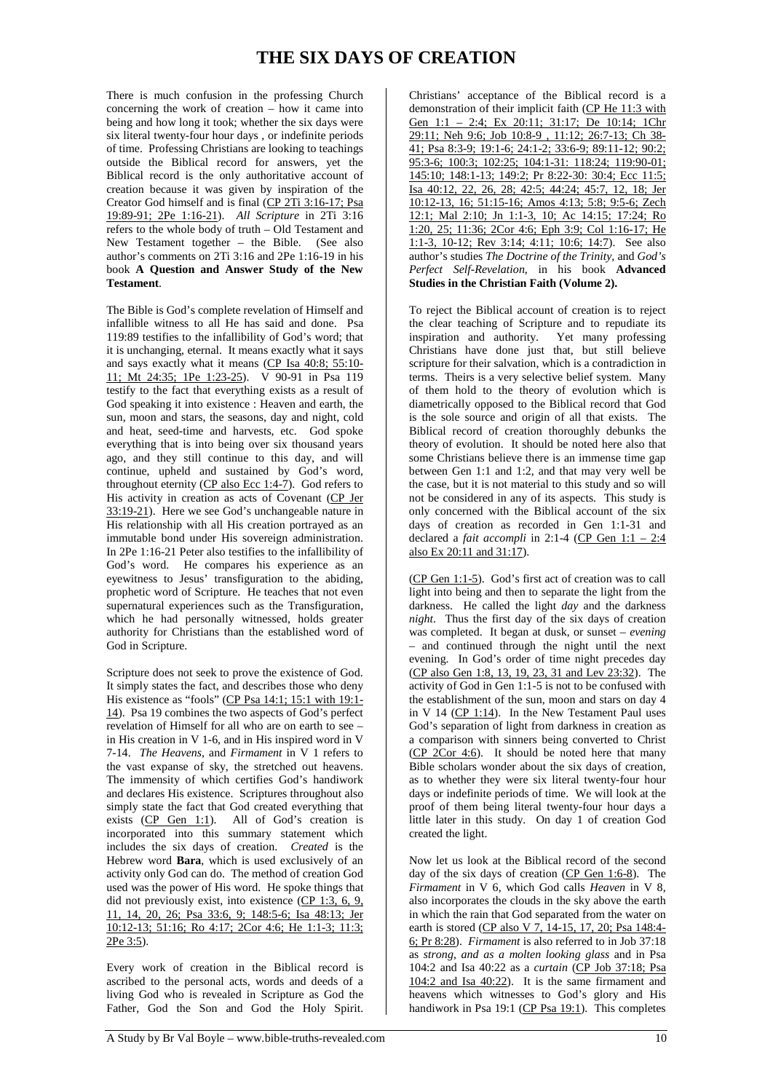## **THE SIX DAYS OF CREATION**

There is much confusion in the professing Church concerning the work of creation – how it came into being and how long it took; whether the six days were six literal twenty-four hour days , or indefinite periods of time. Professing Christians are looking to teachings outside the Biblical record for answers, yet the Biblical record is the only authoritative account of creation because it was given by inspiration of the Creator God himself and is final (CP 2Ti 3:16-17; Psa 19:89-91; 2Pe 1:16-21). *All Scripture* in 2Ti 3:16 refers to the whole body of truth – Old Testament and New Testament together – the Bible. (See also author's comments on 2Ti 3:16 and 2Pe 1:16-19 in his book **A Question and Answer Study of the New Testament**.

The Bible is God's complete revelation of Himself and infallible witness to all He has said and done. Psa 119:89 testifies to the infallibility of God's word; that it is unchanging, eternal. It means exactly what it says and says exactly what it means (CP Isa 40:8; 55:10- 11; Mt 24:35; 1Pe 1:23-25). V 90-91 in Psa 119 testify to the fact that everything exists as a result of God speaking it into existence : Heaven and earth, the sun, moon and stars, the seasons, day and night, cold and heat, seed-time and harvests, etc. God spoke everything that is into being over six thousand years ago, and they still continue to this day, and will continue, upheld and sustained by God's word, throughout eternity ( $CP$  also Ecc 1:4-7). God refers to His activity in creation as acts of Covenant (CP Jer 33:19-21). Here we see God's unchangeable nature in His relationship with all His creation portrayed as an immutable bond under His sovereign administration. In 2Pe 1:16-21 Peter also testifies to the infallibility of God's word. He compares his experience as an eyewitness to Jesus' transfiguration to the abiding, prophetic word of Scripture. He teaches that not even supernatural experiences such as the Transfiguration, which he had personally witnessed, holds greater authority for Christians than the established word of God in Scripture.

Scripture does not seek to prove the existence of God. It simply states the fact, and describes those who deny His existence as "fools" (CP Psa 14:1; 15:1 with 19:1- 14). Psa 19 combines the two aspects of God's perfect revelation of Himself for all who are on earth to see – in His creation in V 1-6, and in His inspired word in V 7-14. *The Heavens*, and *Firmament* in V 1 refers to the vast expanse of sky, the stretched out heavens. The immensity of which certifies God's handiwork and declares His existence. Scriptures throughout also simply state the fact that God created everything that exists (CP Gen 1:1). All of God's creation is incorporated into this summary statement which includes the six days of creation. *Created* is the Hebrew word **Bara**, which is used exclusively of an activity only God can do. The method of creation God used was the power of His word. He spoke things that did not previously exist, into existence (CP 1:3, 6, 9, 11, 14, 20, 26; Psa 33:6, 9; 148:5-6; Isa 48:13; Jer 10:12-13; 51:16; Ro 4:17; 2Cor 4:6; He 1:1-3; 11:3; 2Pe 3:5).

Every work of creation in the Biblical record is ascribed to the personal acts, words and deeds of a living God who is revealed in Scripture as God the Father, God the Son and God the Holy Spirit.

Christians' acceptance of the Biblical record is a demonstration of their implicit faith (CP He 11:3 with Gen 1:1 – 2:4; Ex 20:11; 31:17; De 10:14; 1Chr 29:11; Neh 9:6; Job 10:8-9 , 11:12; 26:7-13; Ch 38- 41; Psa 8:3-9; 19:1-6; 24:1-2; 33:6-9; 89:11-12; 90:2; 95:3-6; 100:3; 102:25; 104:1-31: 118:24; 119:90-01; 145:10; 148:1-13; 149:2; Pr 8:22-30: 30:4; Ecc 11:5; Isa 40:12, 22, 26, 28; 42:5; 44:24; 45:7, 12, 18; Jer 10:12-13, 16; 51:15-16; Amos 4:13; 5:8; 9:5-6; Zech 12:1; Mal 2:10; Jn 1:1-3, 10; Ac 14:15; 17:24; Ro 1:20, 25; 11:36; 2Cor 4:6; Eph 3:9; Col 1:16-17; He 1:1-3, 10-12; Rev 3:14; 4:11; 10:6; 14:7). See also author's studies *The Doctrine of the Trinity*, and *God's Perfect Self-Revelation*, in his book **Advanced Studies in the Christian Faith (Volume 2).**

To reject the Biblical account of creation is to reject the clear teaching of Scripture and to repudiate its inspiration and authority. Yet many professing inspiration and authority. Christians have done just that, but still believe scripture for their salvation, which is a contradiction in terms. Theirs is a very selective belief system. Many of them hold to the theory of evolution which is diametrically opposed to the Biblical record that God is the sole source and origin of all that exists. The Biblical record of creation thoroughly debunks the theory of evolution. It should be noted here also that some Christians believe there is an immense time gap between Gen 1:1 and 1:2, and that may very well be the case, but it is not material to this study and so will not be considered in any of its aspects. This study is only concerned with the Biblical account of the six days of creation as recorded in Gen 1:1-31 and declared a *fait accompli* in 2:1-4 (CP Gen  $1:1 - 2:4$ ) also Ex 20:11 and 31:17).

(CP Gen 1:1-5). God's first act of creation was to call light into being and then to separate the light from the darkness. He called the light *day* and the darkness *night*. Thus the first day of the six days of creation was completed. It began at dusk, or sunset – *evening* – and continued through the night until the next evening. In God's order of time night precedes day (CP also Gen 1:8, 13, 19, 23, 31 and Lev 23:32). The activity of God in Gen 1:1-5 is not to be confused with the establishment of the sun, moon and stars on day 4 in V 14 ( $CP$  1:14). In the New Testament Paul uses God's separation of light from darkness in creation as a comparison with sinners being converted to Christ  $(CP 2Cor 4:6)$ . It should be noted here that many Bible scholars wonder about the six days of creation, as to whether they were six literal twenty-four hour days or indefinite periods of time. We will look at the proof of them being literal twenty-four hour days a little later in this study. On day 1 of creation God created the light.

Now let us look at the Biblical record of the second day of the six days of creation (CP Gen 1:6-8). The *Firmament* in V 6, which God calls *Heaven* in V 8, also incorporates the clouds in the sky above the earth in which the rain that God separated from the water on earth is stored (CP also V 7, 14-15, 17, 20; Psa 148:4-6; Pr 8:28). *Firmament* is also referred to in Job 37:18 as *strong, and as a molten looking glass* and in Psa 104:2 and Isa 40:22 as a *curtain* (CP Job 37:18; Psa 104:2 and Isa 40:22). It is the same firmament and heavens which witnesses to God's glory and His handiwork in Psa 19:1 (CP Psa 19:1). This completes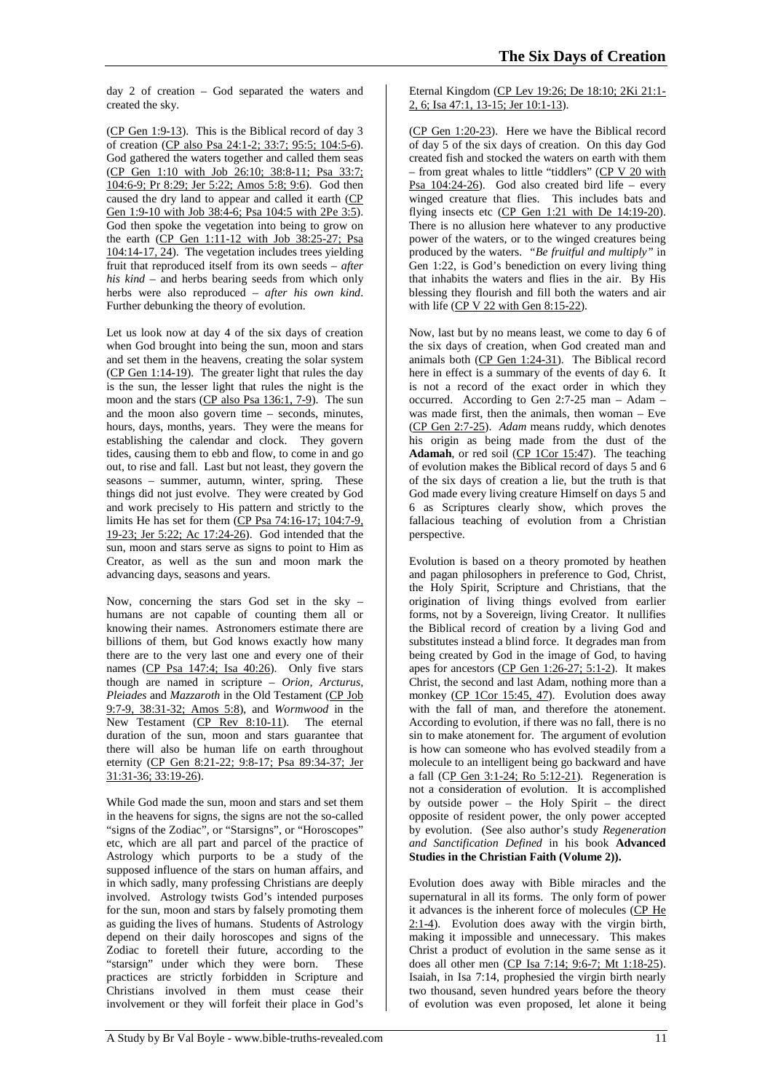day 2 of creation – God separated the waters and created the sky.

(CP Gen 1:9-13). This is the Biblical record of day 3 of creation (CP also Psa 24:1-2; 33:7; 95:5; 104:5-6). God gathered the waters together and called them seas (CP Gen 1:10 with Job 26:10; 38:8-11; Psa 33:7; 104:6-9; Pr 8:29; Jer 5:22; Amos 5:8; 9:6). God then caused the dry land to appear and called it earth (CP Gen 1:9-10 with Job 38:4-6; Psa 104:5 with 2Pe 3:5). God then spoke the vegetation into being to grow on the earth (CP Gen 1:11-12 with Job 38:25-27; Psa 104:14-17, 24). The vegetation includes trees yielding fruit that reproduced itself from its own seeds – *after his kind* – and herbs bearing seeds from which only herbs were also reproduced – *after his own kind*. Further debunking the theory of evolution.

Let us look now at day 4 of the six days of creation when God brought into being the sun, moon and stars and set them in the heavens, creating the solar system (CP Gen 1:14-19). The greater light that rules the day is the sun, the lesser light that rules the night is the moon and the stars (CP also Psa 136:1, 7-9). The sun and the moon also govern time – seconds, minutes, hours, days, months, years. They were the means for establishing the calendar and clock. They govern tides, causing them to ebb and flow, to come in and go out, to rise and fall. Last but not least, they govern the seasons – summer, autumn, winter, spring. These things did not just evolve. They were created by God and work precisely to His pattern and strictly to the limits He has set for them (CP Psa 74:16-17; 104:7-9, 19-23; Jer 5:22; Ac 17:24-26). God intended that the sun, moon and stars serve as signs to point to Him as Creator, as well as the sun and moon mark the advancing days, seasons and years.

Now, concerning the stars God set in the sky – humans are not capable of counting them all or knowing their names. Astronomers estimate there are billions of them, but God knows exactly how many there are to the very last one and every one of their names (CP Psa 147:4; Isa 40:26). Only five stars though are named in scripture – *Orion, Arcturus, Pleiades* and *Mazzaroth* in the Old Testament (CP Job 9:7-9, 38:31-32; Amos 5:8), and *Wormwood* in the New Testament (CP Rev 8:10-11). The eternal duration of the sun, moon and stars guarantee that there will also be human life on earth throughout eternity (CP Gen 8:21-22; 9:8-17; Psa 89:34-37; Jer 31:31-36; 33:19-26).

While God made the sun, moon and stars and set them in the heavens for signs, the signs are not the so-called "signs of the Zodiac", or "Starsigns", or "Horoscopes" etc, which are all part and parcel of the practice of Astrology which purports to be a study of the supposed influence of the stars on human affairs, and in which sadly, many professing Christians are deeply involved. Astrology twists God's intended purposes for the sun, moon and stars by falsely promoting them as guiding the lives of humans. Students of Astrology depend on their daily horoscopes and signs of the Zodiac to foretell their future, according to the "starsign" under which they were born. These practices are strictly forbidden in Scripture and Christians involved in them must cease their involvement or they will forfeit their place in God's

## Eternal Kingdom (CP Lev 19:26; De 18:10; 2Ki 21:1- 2, 6; Isa 47:1, 13-15; Jer 10:1-13).

(CP Gen 1:20-23). Here we have the Biblical record of day 5 of the six days of creation. On this day God created fish and stocked the waters on earth with them – from great whales to little "tiddlers" (CP V 20 with Psa 104:24-26). God also created bird life – every winged creature that flies. This includes bats and flying insects etc  $(CP \t{Gen} 1:21 \t{ with De} 14:19-20).$ There is no allusion here whatever to any productive power of the waters, or to the winged creatures being produced by the waters. *"Be fruitful and multiply"* in Gen 1:22, is God's benediction on every living thing that inhabits the waters and flies in the air. By His blessing they flourish and fill both the waters and air with life (CP V 22 with Gen 8:15-22).

Now, last but by no means least, we come to day 6 of the six days of creation, when God created man and animals both (CP Gen 1:24-31). The Biblical record here in effect is a summary of the events of day 6. It is not a record of the exact order in which they occurred. According to Gen 2:7-25 man – Adam – was made first, then the animals, then woman – Eve (CP Gen 2:7-25). *Adam* means ruddy, which denotes his origin as being made from the dust of the Adamah, or red soil (CP 1Cor 15:47). The teaching of evolution makes the Biblical record of days 5 and 6 of the six days of creation a lie, but the truth is that God made every living creature Himself on days 5 and 6 as Scriptures clearly show, which proves the fallacious teaching of evolution from a Christian perspective.

Evolution is based on a theory promoted by heathen and pagan philosophers in preference to God, Christ, the Holy Spirit, Scripture and Christians, that the origination of living things evolved from earlier forms, not by a Sovereign, living Creator. It nullifies the Biblical record of creation by a living God and substitutes instead a blind force. It degrades man from being created by God in the image of God, to having apes for ancestors (CP Gen 1:26-27; 5:1-2). It makes Christ, the second and last Adam, nothing more than a monkey (CP 1Cor 15:45, 47). Evolution does away with the fall of man, and therefore the atonement. According to evolution, if there was no fall, there is no sin to make atonement for. The argument of evolution is how can someone who has evolved steadily from a molecule to an intelligent being go backward and have a fall (CP Gen 3:1-24; Ro 5:12-21). Regeneration is not a consideration of evolution. It is accomplished by outside power – the Holy Spirit – the direct opposite of resident power, the only power accepted by evolution. (See also author's study *Regeneration and Sanctification Defined* in his book **Advanced Studies in the Christian Faith (Volume 2)).**

Evolution does away with Bible miracles and the supernatural in all its forms. The only form of power it advances is the inherent force of molecules (CP He  $2:1-4$ ). Evolution does away with the virgin birth, making it impossible and unnecessary. This makes Christ a product of evolution in the same sense as it does all other men (CP Isa 7:14; 9:6-7; Mt 1:18-25). Isaiah, in Isa 7:14, prophesied the virgin birth nearly two thousand, seven hundred years before the theory of evolution was even proposed, let alone it being